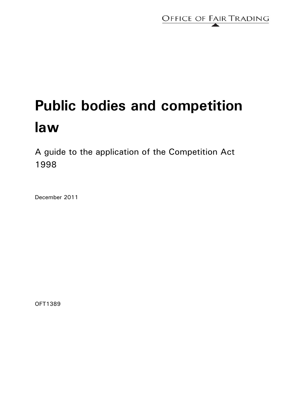

# **Public bodies and competition law**

A guide to the application of the Competition Act 1998

December 2011

OFT1389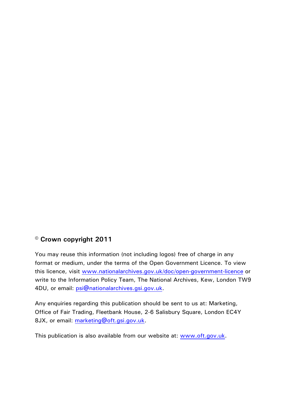# **© Crown copyright 2011**

You may reuse this information (not including logos) free of charge in any format or medium, under the terms of the Open Government Licence. To view this licence, visit [www.nationalarchives.gov.uk/doc/open-government-licence](http://www.nationalarchives.gov.uk/doc/open-government-licence) or write to the Information Policy Team, The National Archives, Kew, London TW9 4DU, or email: [psi@nationalarchives.gsi.gov.uk](mailto:psi@nationalarchives.gsi.gov.uk).

Any enquiries regarding this publication should be sent to us at: Marketing, Office of Fair Trading, Fleetbank House, 2-6 Salisbury Square, London EC4Y 8JX, or email: [marketing@oft.gsi.gov.uk.](mailto:marketing@oft.gsi.gov.uk)

This publication is also available from our website at: [www.oft.gov.uk.](http://www.oft.gov.uk/)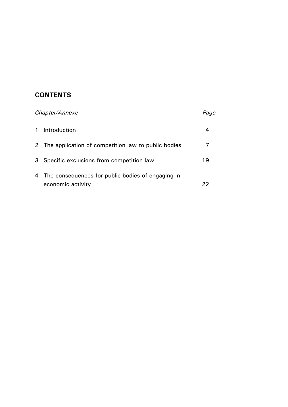# **CONTENTS**

| Chapter/Annexe |                                                       | Page |
|----------------|-------------------------------------------------------|------|
| $\mathbf{1}$   | Introduction                                          | 4    |
|                | 2 The application of competition law to public bodies |      |
| 3              | Specific exclusions from competition law              | 19   |
| 4              | The consequences for public bodies of engaging in     |      |
|                | economic activity                                     | 22   |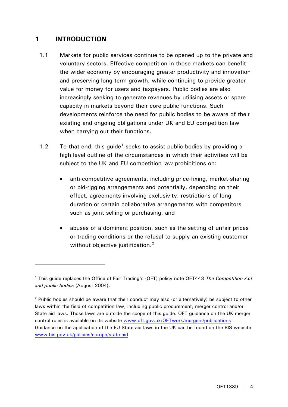# <span id="page-3-0"></span>**1 INTRODUCTION**

- 1.1 Markets for public services continue to be opened up to the private and voluntary sectors. Effective competition in those markets can benefit the wider economy by encouraging greater productivity and innovation and preserving long term growth, while continuing to provide greater value for money for users and taxpayers*.* Public bodies are also increasingly seeking to generate revenues by utilising assets or spare capacity in markets beyond their core public functions. Such developments reinforce the need for public bodies to be aware of their existing and ongoing obligations under UK and EU competition law when carrying out their functions.
- [1](#page-3-1).2 To that end, this guide<sup>1</sup> seeks to assist public bodies by providing a high level outline of the circumstances in which their activities will be subject to the UK and EU competition law prohibitions on:
	- anti-competitive agreements, including price-fixing, market-sharing or bid-rigging arrangements and potentially, depending on their effect, agreements involving exclusivity, restrictions of long duration or certain collaborative arrangements with competitors such as joint selling or purchasing, and
	- abuses of a dominant position, such as the setting of unfair prices or trading conditions or the refusal to supply an existing customer without objective justification.<sup>[2](#page-3-2)</sup>

<span id="page-3-1"></span><sup>1</sup> This guide replaces the Office of Fair Trading's (OFT) policy note OFT443 *The Competition Act and public bodies* (August 2004).

<span id="page-3-2"></span> $2$  Public bodies should be aware that their conduct may also (or alternatively) be subject to other laws within the field of competition law, including public procurement, merger control and/or State aid laws. Those laws are outside the scope of this guide. OFT guidance on the UK merger control rules is available on its website [www.oft.gov.uk/OFTwork/mergers/publications](http://www.oft.gov.uk/OFTwork/mergers/publications)  Guidance on the application of the EU State aid laws in the UK can be found on the BIS website [www.bis.gov.uk/policies/europe/state-aid](http://www.bis.gov.uk/policies/europe/state-aid)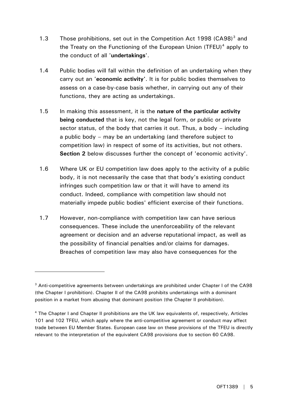- 1.[3](#page-4-0) Those prohibitions, set out in the Competition Act 1998 (CA98)<sup>3</sup> and the Treaty on the Functioning of the European Union (TFEU)<sup>[4](#page-4-1)</sup> apply to the conduct of all '**undertakings**'.
- 1.4 Public bodies will fall within the definition of an undertaking when they carry out an '**economic activity'**. It is for public bodies themselves to assess on a case-by-case basis whether, in carrying out any of their functions, they are acting as undertakings.
- 1.5 In making this assessment, it is the **nature of the particular activity being conducted** that is key, not the legal form, or public or private sector status, of the body that carries it out. Thus, a body – including a public body – may be an undertaking (and therefore subject to competition law) in respect of some of its activities, but not others. **Section 2** below discusses further the concept of 'economic activity'.
- 1.6 Where UK or EU competition law does apply to the activity of a public body, it is not necessarily the case that that body's existing conduct infringes such competition law or that it will have to amend its conduct. Indeed, compliance with competition law should not materially impede public bodies' efficient exercise of their functions.
- 1.7 However, non-compliance with competition law can have serious consequences. These include the unenforceability of the relevant agreement or decision and an adverse reputational impact, as well as the possibility of financial penalties and/or claims for damages. Breaches of competition law may also have consequences for the

<span id="page-4-0"></span> $3$  Anti-competitive agreements between undertakings are prohibited under Chapter I of the CA98 (the Chapter I prohibition). Chapter II of the CA98 prohibits undertakings with a dominant position in a market from abusing that dominant position (the Chapter II prohibition).

<span id="page-4-1"></span><sup>&</sup>lt;sup>4</sup> The Chapter I and Chapter II prohibitions are the UK law equivalents of, respectively, Articles 101 and 102 TFEU, which apply where the anti-competitive agreement or conduct may affect trade between EU Member States. European case law on these provisions of the TFEU is directly relevant to the interpretation of the equivalent CA98 provisions due to section 60 CA98.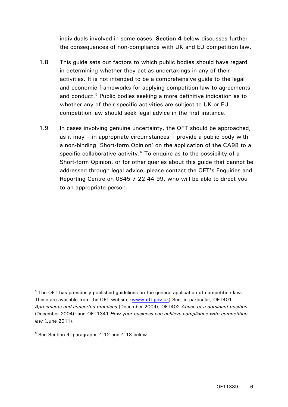individuals involved in some cases. **Section 4** below discusses further the consequences of non-compliance with UK and EU competition law.

- 1.8 This guide sets out factors to which public bodies should have regard in determining whether they act as undertakings in any of their activities. It is not intended to be a comprehensive guide to the legal and economic frameworks for applying competition law to agreements and conduct.<sup>[5](#page-5-0)</sup> Public bodies seeking a more definitive indication as to whether any of their specific activities are subject to UK or EU competition law should seek legal advice in the first instance.
- 1.9 In cases involving genuine uncertainty, the OFT should be approached, as it may – in appropriate circumstances – provide a public body with a non-binding 'Short-form Opinion' on the application of the CA98 to a specific collaborative activity. $6$  To enquire as to the possibility of a Short-form Opinion, or for other queries about this guide that cannot be addressed through legal advice, please contact the OFT's Enquiries and Reporting Centre on 0845 7 22 44 99, who will be able to direct you to an appropriate person.

<span id="page-5-0"></span><sup>&</sup>lt;sup>5</sup> The OFT has previously published guidelines on the general application of competition law. These are available from the OFT website [\(www.oft.gov.uk](http://www.oft.gov.uk/)) See, in particular, OFT401 *Agreements and concerted practices* (December 2004); OFT402 *Abuse of a dominant position* (December 2004); and OFT1341 *How your business can achieve compliance with competition law* (June 2011).

<span id="page-5-1"></span><sup>&</sup>lt;sup>6</sup> See Section 4, paragraphs 4.12 and 4.13 below.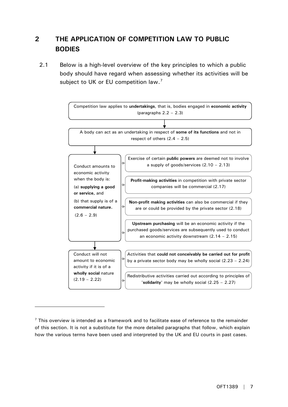# <span id="page-6-0"></span>**2 THE APPLICATION OF COMPETITION LAW TO PUBLIC BODIES**

2.1 Below is a high-level overview of the key principles to which a public body should have regard when assessing whether its activities will be subject to UK or EU competition law.<sup>[7](#page-6-1)</sup>



<span id="page-6-1"></span> $\sigma$  This overview is intended as a framework and to facilitate ease of reference to the remainder of this section. It is not a substitute for the more detailed paragraphs that follow, which explain how the various terms have been used and interpreted by the UK and EU courts in past cases.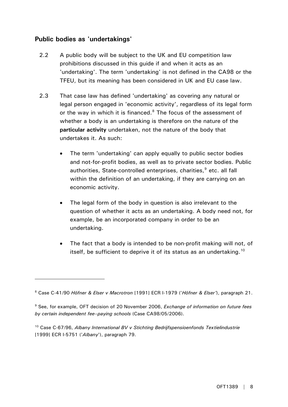## **Public bodies as 'undertakings'**

- 2.2 A public body will be subject to the UK and EU competition law prohibitions discussed in this guide if and when it acts as an 'undertaking'. The term 'undertaking' is not defined in the CA98 or the TFEU, but its meaning has been considered in UK and EU case law.
- 2.3 That case law has defined 'undertaking' as covering any natural or legal person engaged in 'economic activity', regardless of its legal form or the way in which it is financed. $8$  The focus of the assessment of whether a body is an undertaking is therefore on the nature of the **particular activity** undertaken, not the nature of the body that undertakes it. As such:
	- The term 'undertaking' can apply equally to public sector bodies and not-for-profit bodies, as well as to private sector bodies. Public authorities, State-controlled enterprises, charities,<sup>[9](#page-7-1)</sup> etc. all fall within the definition of an undertaking, if they are carrying on an economic activity.
	- The legal form of the body in question is also irrelevant to the question of whether it acts as an undertaking. A body need not, for example, be an incorporated company in order to be an undertaking.
	- The fact that a body is intended to be non-profit making will not, of itself, be sufficient to deprive it of its status as an undertaking.<sup>[10](#page-7-2)</sup>

<span id="page-7-0"></span><sup>8</sup> Case C-41/90 *Höfner & Elser v Macrotron* [1991] ECR I-1979 ('*Höfner & Elser'*), paragraph 21.

<span id="page-7-1"></span><sup>9</sup> See, for example, OFT decision of 20 November 2006, *Exchange of information on future fees by certain independent fee–paying schools* (Case CA98/05/2006).

<span id="page-7-2"></span><sup>10</sup> Case C-67/96, *Albany International BV v Stichting Bedrijfspensioenfonds Textielindustrie* [1999] ECR I-5751 ('*Albany*'), paragraph 79.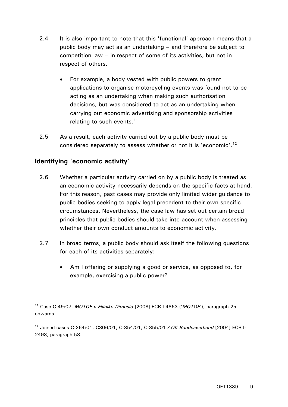- 2.4 It is also important to note that this 'functional' approach means that a public body may act as an undertaking – and therefore be subject to competition law – in respect of some of its activities, but not in respect of others.
	- For example, a body vested with public powers to grant applications to organise motorcycling events was found not to be acting as an undertaking when making such authorisation decisions, but was considered to act as an undertaking when carrying out economic advertising and sponsorship activities relating to such events. $11$
- 2.5 As a result, each activity carried out by a public body must be considered separately to assess whether or not it is 'economic'.<sup>[12](#page-8-1)</sup>

## **Identifying 'economic activity'**

- 2.6 Whether a particular activity carried on by a public body is treated as an economic activity necessarily depends on the specific facts at hand. For this reason, past cases may provide only limited wider guidance to public bodies seeking to apply legal precedent to their own specific circumstances. Nevertheless, the case law has set out certain broad principles that public bodies should take into account when assessing whether their own conduct amounts to economic activity.
- 2.7 In broad terms, a public body should ask itself the following questions for each of its activities separately:
	- Am I offering or supplying a good or service, as opposed to, for example, exercising a public power?

<span id="page-8-0"></span><sup>11</sup> Case C-49/07, *MOTOE v Elliniko Dimosio* [2008] ECR I-4863 ('*MOTOE*'), paragraph 25 onwards.

<span id="page-8-1"></span><sup>12</sup> Joined cases C-264/01, C306/01, C-354/01, C-355/01 *AOK Bundesverband* [2004] ECR I-2493, paragraph 58.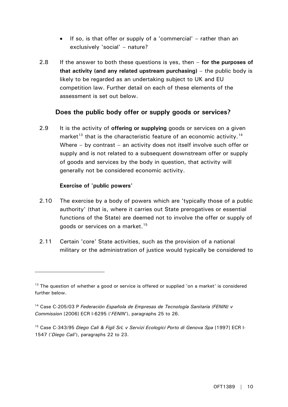- If so, is that offer or supply of a 'commercial' rather than an exclusively 'social' – nature?
- 2.8 If the answer to both these questions is yes, then **for the purposes of that activity (and any related upstream purchasing)** – the public body is likely to be regarded as an undertaking subject to UK and EU competition law. Further detail on each of these elements of the assessment is set out below.

## **Does the public body offer or supply goods or services?**

2.9 It is the activity of **offering or supplying** goods or services on a given market<sup>[13](#page-9-0)</sup> that is the characteristic feature of an economic activity.<sup>[14](#page-9-1)</sup> Where – by contrast – an activity does not itself involve such offer or supply and is not related to a subsequent downstream offer or supply of goods and services by the body in question, that activity will generally not be considered economic activity.

#### **Exercise of 'public powers'**

- 2.10 The exercise by a body of powers which are 'typically those of a public authority' (that is, where it carries out State prerogatives or essential functions of the State) are deemed not to involve the offer or supply of goods or services on a market.<sup>[15](#page-9-2)</sup>
- 2.11 Certain 'core' State activities, such as the provision of a national military or the administration of justice would typically be considered to

<span id="page-9-0"></span><sup>&</sup>lt;sup>13</sup> The question of whether a good or service is offered or supplied 'on a market' is considered further below.

<span id="page-9-1"></span><sup>14</sup> Case C-205/03 P *Federación Española de Empresas de Tecnología Sanitaria (FENIN) v Commission* [2006] ECR I-6295 ('*FENIN*'), paragraphs 25 to 26.

<span id="page-9-2"></span><sup>15</sup> Case C-343/95 *Diego Cali & Figli SrL v Servizi Ecologici Porto di Genova Spa* [1997] ECR I-1547 ('*Diego Cali*'), paragraphs 22 to 23.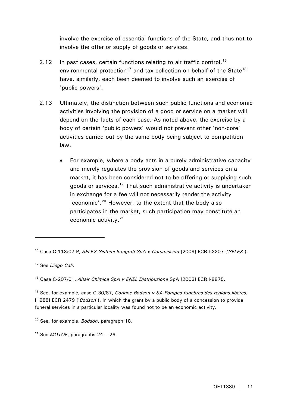involve the exercise of essential functions of the State, and thus not to involve the offer or supply of goods or services.

- 2.12 In past cases, certain functions relating to air traffic control,  $16$ environmental protection<sup>[17](#page-10-1)</sup> and tax collection on behalf of the State<sup>[18](#page-10-2)</sup> have, similarly, each been deemed to involve such an exercise of 'public powers'.
- 2.13 Ultimately, the distinction between such public functions and economic activities involving the provision of a good or service on a market will depend on the facts of each case. As noted above, the exercise by a body of certain 'public powers' would not prevent other 'non-core' activities carried out by the same body being subject to competition law.
	- For example, where a body acts in a purely administrative capacity and merely regulates the provision of goods and services on a market, it has been considered not to be offering or supplying such goods or services.<sup>[19](#page-10-3)</sup> That such administrative activity is undertaken in exchange for a fee will not necessarily render the activity 'economic'.<sup>[20](#page-10-4)</sup> However, to the extent that the body also participates in the market, such participation may constitute an economic activity.[21](#page-10-5)

 $\overline{a}$ 

<span id="page-10-3"></span>19 See, for example, case C-30/87, *Corinne Bodson v SA Pompes funebres des regions liberes*, [1988] ECR 2479 ('*Bodson*'), in which the grant by a public body of a concession to provide funeral services in a particular locality was found not to be an economic activity.

<span id="page-10-0"></span><sup>16</sup> Case C-113/07 P, *SELEX Sistemi Integrati SpA v Commission* [2009] ECR I-2207 ('*SELEX*').

<span id="page-10-1"></span><sup>17</sup> See *Diego Cali*.

<span id="page-10-2"></span><sup>18</sup> Case C-207/01, *Altair Chimica SpA v ENEL Distribuzione* SpA [2003] ECR I-8875.

<span id="page-10-4"></span><sup>20</sup> See, for example, *Bodson*, paragraph 18.

<span id="page-10-5"></span><sup>21</sup> See *MOTOE*, paragraphs 24 – 26*.*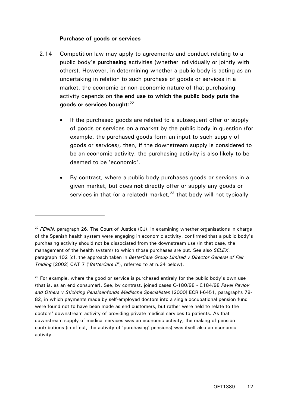#### **Purchase of goods or services**

- 2.14 Competition law may apply to agreements and conduct relating to a public body's **purchasing** activities (whether individually or jointly with others). However, in determining whether a public body is acting as an undertaking in relation to such purchase of goods or services in a market, the economic or non-economic nature of that purchasing activity depends on **the end use to which the public body puts the goods or services bought**: [22](#page-11-0)
	- If the purchased goods are related to a subsequent offer or supply of goods or services on a market by the public body in question (for example, the purchased goods form an input to such supply of goods or services), then, if the downstream supply is considered to be an economic activity, the purchasing activity is also likely to be deemed to be 'economic'.
	- By contrast, where a public body purchases goods or services in a given market, but does **not** directly offer or supply any goods or services in that (or a related) market, $23$  that body will not typically

<span id="page-11-0"></span><sup>&</sup>lt;sup>22</sup> FENIN, paragraph 26. The Court of Justice (CJ), in examining whether organisations in charge of the Spanish health system were engaging in economic activity, confirmed that a public body's purchasing activity should not be dissociated from the downstream use (in that case, the management of the health system) to which those purchases are put. See also *SELEX*, paragraph 102 (cf. the approach taken in *BetterCare Group Limited v Director General of Fair Trading* [2002] CAT 7 ('*BetterCare II*'), referred to at n.34 below).

<span id="page-11-1"></span> $23$  For example, where the good or service is purchased entirely for the public body's own use (that is, as an end consumer). See, by contrast, joined cases C-180/98 - C184/98 *Pavel Pavlov and Others v Stichting Pensioenfonds Medische Specialisten* [2000] ECR I-6451, paragraphs 78-82, in which payments made by self-employed doctors into a single occupational pension fund were found not to have been made as end customers, but rather were held to relate to the doctors' downstream activity of providing private medical services to patients. As that downstream supply of medical services was an economic activity, the making of pension contributions (in effect, the activity of 'purchasing' pensions) was itself also an economic activity.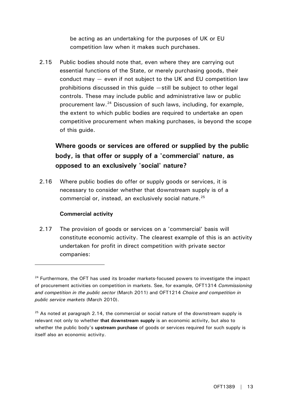be acting as an undertaking for the purposes of UK or EU competition law when it makes such purchases.

2.15 Public bodies should note that, even where they are carrying out essential functions of the State, or merely purchasing goods, their conduct may — even if not subject to the UK and EU competition law prohibitions discussed in this guide —still be subject to other legal controls. These may include public and administrative law or public procurement law.[24](#page-12-0) Discussion of such laws, including, for example, the extent to which public bodies are required to undertake an open competitive procurement when making purchases, is beyond the scope of this guide.

# **Where goods or services are offered or supplied by the public body, is that offer or supply of a 'commercial' nature, as opposed to an exclusively 'social' nature?**

2.16 Where public bodies do offer or supply goods or services, it is necessary to consider whether that downstream supply is of a commercial or, instead, an exclusively social nature.<sup>[25](#page-12-1)</sup>

#### **Commercial activity**

 $\overline{a}$ 

2.17 The provision of goods or services on a 'commercial' basis will constitute economic activity. The clearest example of this is an activity undertaken for profit in direct competition with private sector companies:

<span id="page-12-0"></span> $24$  Furthermore, the OFT has used its broader markets-focused powers to investigate the impact of procurement activities on competition in markets. See, for example, OFT1314 *Commissioning and competition in the public sector* (March 2011) and OFT1214 *Choice and competition in public service markets* (March 2010).

<span id="page-12-1"></span> $25$  As noted at paragraph 2.14, the commercial or social nature of the downstream supply is relevant not only to whether **that downstream supply** is an economic activity, but also to whether the public body's **upstream purchase** of goods or services required for such supply is itself also an economic activity.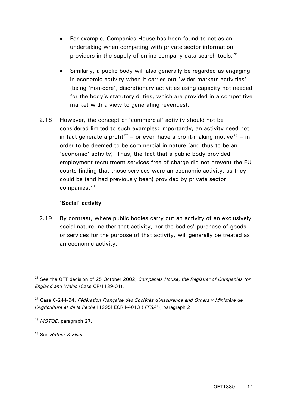- For example, Companies House has been found to act as an undertaking when competing with private sector information providers in the supply of online company data search tools.  $26$
- Similarly, a public body will also generally be regarded as engaging in economic activity when it carries out 'wider markets activities' (being 'non-core', discretionary activities using capacity not needed for the body's statutory duties, which are provided in a competitive market with a view to generating revenues).
- 2.18 However, the concept of 'commercial' activity should not be considered limited to such examples: importantly, an activity need not in fact generate a profit<sup>[27](#page-13-1)</sup> – or even have a profit-making motive<sup>[28](#page-13-2)</sup> – in order to be deemed to be commercial in nature (and thus to be an 'economic' activity). Thus, the fact that a public body provided employment recruitment services free of charge did not prevent the EU courts finding that those services were an economic activity, as they could be (and had previously been) provided by private sector companies.<sup>[29](#page-13-3)</sup>

#### **'Social' activity**

2.19 By contrast, where public bodies carry out an activity of an exclusively social nature, neither that activity, nor the bodies' purchase of goods or services for the purpose of that activity, will generally be treated as an economic activity.

<span id="page-13-0"></span><sup>26</sup> See the OFT decision of 25 October 2002, *Companies House, the Registrar of Companies for England and Wales* (Case CP/1139-01).

<span id="page-13-1"></span><sup>27</sup> Case C-244/94, *Fédération Française des Sociétés d'Assurance and Others v Ministère de l'Agriculture et de la Pêche* [1995] ECR I-4013 ('*FFSA*'), paragraph 21.

<span id="page-13-2"></span><sup>28</sup> *MOTOE*, paragraph 27.

<span id="page-13-3"></span><sup>29</sup> See *Höfner & Elser.*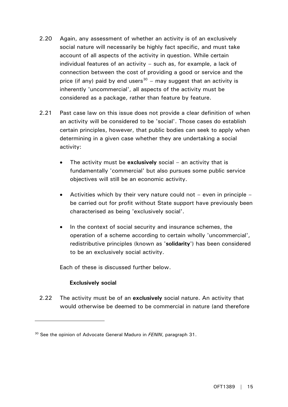- 2.20 Again, any assessment of whether an activity is of an exclusively social nature will necessarily be highly fact specific, and must take account of all aspects of the activity in question. While certain individual features of an activity – such as, for example, a lack of connection between the cost of providing a good or service and the price (if any) paid by end users<sup>[30](#page-14-0)</sup> – may suggest that an activity is inherently 'uncommercial', all aspects of the activity must be considered as a package, rather than feature by feature.
- 2.21 Past case law on this issue does not provide a clear definition of when an activity will be considered to be 'social'. Those cases do establish certain principles, however, that public bodies can seek to apply when determining in a given case whether they are undertaking a social activity:
	- The activity must be **exclusively** social an activity that is fundamentally 'commercial' but also pursues some public service objectives will still be an economic activity.
	- Activities which by their very nature could not  $-$  even in principle  $$ be carried out for profit without State support have previously been characterised as being 'exclusively social'.
	- In the context of social security and insurance schemes, the operation of a scheme according to certain wholly 'uncommercial', redistributive principles (known as '**solidarity**') has been considered to be an exclusively social activity.

Each of these is discussed further below.

#### **Exclusively social**

 $\overline{a}$ 

2.22 The activity must be of an **exclusively** social nature. An activity that would otherwise be deemed to be commercial in nature (and therefore

<span id="page-14-0"></span><sup>30</sup> See the opinion of Advocate General Maduro in *FENIN*, paragraph 31.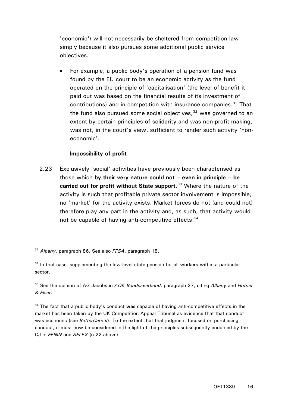'economic') will not necessarily be sheltered from competition law simply because it also pursues some additional public service objectives.

For example, a public body's operation of a pension fund was found by the EU court to be an economic activity as the fund operated on the principle of 'capitalisation' (the level of benefit it paid out was based on the financial results of its investment of contributions) and in competition with insurance companies.<sup>[31](#page-15-0)</sup> That the fund also pursued some social objectives,  $32$  was governed to an extent by certain principles of solidarity and was non-profit making, was not, in the court's view, sufficient to render such activity 'noneconomic'.

#### **Impossibility of profit**

2.23 Exclusively 'social' activities have previously been characterised as those which **by their very nature could not – even in principle – be carried out for profit without State support**. [33](#page-15-2) Where the nature of the activity is such that profitable private sector involvement is impossible, no 'market' for the activity exists. Market forces do not (and could not) therefore play any part in the activity and, as such, that activity would not be capable of having anti-competitive effects.<sup>[34](#page-15-3)</sup>

<span id="page-15-0"></span><sup>31</sup> *Albany*, paragraph 86. See also *FFSA*, paragraph 18.

<span id="page-15-1"></span> $32$  In that case, supplementing the low-level state pension for all workers within a particular sector.

<span id="page-15-2"></span><sup>33</sup> See the opinion of AG Jacobs in *AOK Bundesverband*, paragraph 27, citing *Albany* and *Höfner & Elser*.

<span id="page-15-3"></span><sup>34</sup> The fact that a public body's conduct **was** capable of having anti-competitive effects in the market has been taken by the UK Competition Appeal Tribunal as evidence that that conduct was economic (see *BetterCare II*). To the extent that that judgment focused on purchasing conduct, it must now be considered in the light of the principles subsequently endorsed by the CJ in *FENIN* and *SELEX* (n.22 above).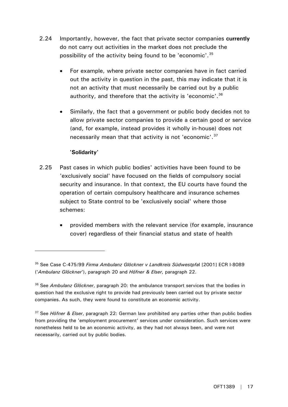- 2.24 Importantly, however, the fact that private sector companies **currently** do not carry out activities in the market does not preclude the possibility of the activity being found to be 'economic'.[35](#page-16-0)
	- For example, where private sector companies have in fact carried out the activity in question in the past, this may indicate that it is not an activity that must necessarily be carried out by a public authority, and therefore that the activity is 'economic'.<sup>[36](#page-16-1)</sup>
	- Similarly, the fact that a government or public body decides not to allow private sector companies to provide a certain good or service (and, for example, instead provides it wholly in-house) does not necessarily mean that that activity is not 'economic'.<sup>[37](#page-16-2)</sup>

#### **'Solidarity'**

- 2.25 Past cases in which public bodies' activities have been found to be 'exclusively social' have focused on the fields of compulsory social security and insurance. In that context, the EU courts have found the operation of certain compulsory healthcare and insurance schemes subject to State control to be 'exclusively social' where those schemes:
	- provided members with the relevant service (for example, insurance cover) regardless of their financial status and state of health

<span id="page-16-0"></span><sup>35</sup> See Case C-475/99 *Firma Ambulanz Glöckner v Landkreis Südwestpfa*l [2001] ECR I-8089 ('*Ambulanz Glöckner*'), paragraph 20 and *Höfner & Elser*, paragraph 22.

<span id="page-16-1"></span><sup>36</sup> See *Ambulanz Glöckner*, paragraph 20: the ambulance transport services that the bodies in question had the exclusive right to provide had previously been carried out by private sector companies. As such, they were found to constitute an economic activity.

<span id="page-16-2"></span><sup>37</sup> See *Höfner & Elser*, paragraph 22: German law prohibited any parties other than public bodies from providing the 'employment procurement' services under consideration. Such services were nonetheless held to be an economic activity, as they had not always been, and were not necessarily, carried out by public bodies.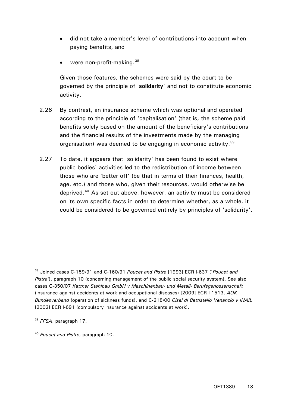- did not take a member's level of contributions into account when paying benefits, and
- were non-profit-making.<sup>[38](#page-17-0)</sup>

Given those features, the schemes were said by the court to be governed by the principle of '**solidarity**' and not to constitute economic activity.

- 2.26 By contrast, an insurance scheme which was optional and operated according to the principle of 'capitalisation' (that is, the scheme paid benefits solely based on the amount of the beneficiary's contributions and the financial results of the investments made by the managing organisation) was deemed to be engaging in economic activity.<sup>39</sup>
- 2.27 To date, it appears that 'solidarity' has been found to exist where public bodies' activities led to the redistribution of income between those who are 'better off' (be that in terms of their finances, health, age, etc.) and those who, given their resources, would otherwise be deprived.[40](#page-17-2) As set out above, however, an activity must be considered on its own specific facts in order to determine whether, as a whole, it could be considered to be governed entirely by principles of 'solidarity'.

<span id="page-17-0"></span><sup>38</sup> Joined cases C-159/91 and C-160/91 *Poucet and Pistre* [1993] ECR I-637 ('*Poucet and Pistre'*), paragraph 10 (concerning management of the public social security system). See also cases C-350/07 *Kattner Stahlbau GmbH v Maschinenbau- und Metall- Berufsgenossenschaft*  (insurance against accidents at work and occupational diseases) [2009] ECR I-1513, *AOK Bundesverband* (operation of sickness funds), and C-218/00 *Cisal di Battistello Venanzio v INAIL*  [2002] ECR I-691 (compulsory insurance against accidents at work).

<span id="page-17-1"></span><sup>39</sup> *FFSA*, paragraph 17.

<span id="page-17-2"></span><sup>40</sup> *Poucet and Pistre*, paragraph 10.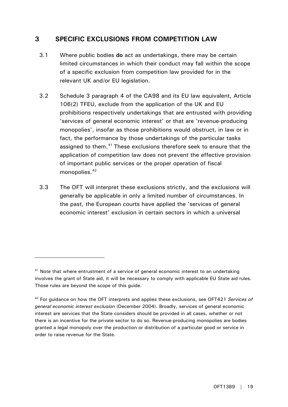## <span id="page-18-0"></span>**3 SPECIFIC EXCLUSIONS FROM COMPETITION LAW**

- 3.1 Where public bodies **do** act as undertakings, there may be certain limited circumstances in which their conduct may fall within the scope of a specific exclusion from competition law provided for in the relevant UK and/or EU legislation.
- 3.2 Schedule 3 paragraph 4 of the CA98 and its EU law equivalent, Article 106(2) TFEU, exclude from the application of the UK and EU prohibitions respectively undertakings that are entrusted with providing 'services of general economic interest' or that are 'revenue-producing monopolies', insofar as those prohibitions would obstruct, in law or in fact, the performance by those undertakings of the particular tasks assigned to them.<sup>[41](#page-18-1)</sup> These exclusions therefore seek to ensure that the application of competition law does not prevent the effective provision of important public services or the proper operation of fiscal monopolies.<sup>[42](#page-18-2)</sup>
- 3.3 The OFT will interpret these exclusions strictly, and the exclusions will generally be applicable in only a limited number of circumstances. In the past, the European courts have applied the 'services of general economic interest' exclusion in certain sectors in which a universal

<span id="page-18-1"></span> $41$  Note that where entrustment of a service of general economic interest to an undertaking involves the grant of State aid, it will be necessary to comply with applicable EU State aid rules. Those rules are beyond the scope of this guide.

<span id="page-18-2"></span><sup>42</sup> For guidance on how the OFT interprets and applies these exclusions, see OFT421 *Services of general economic interest exclusion* (December 2004). Broadly, services of general economic interest are services that the State considers should be provided in all cases, whether or not there is an incentive for the private sector to do so. Revenue-producing monopolies are bodies granted a legal monopoly over the production or distribution of a particular good or service in order to raise revenue for the State.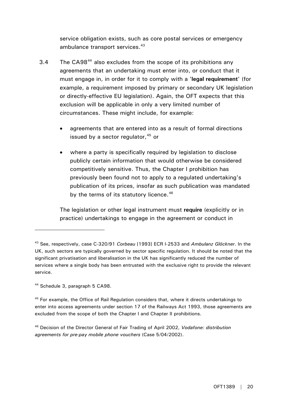service obligation exists, such as core postal services or emergency ambulance transport services.<sup>[43](#page-19-0)</sup>

- 3.4 The CA98<sup>[44](#page-19-1)</sup> also excludes from the scope of its prohibitions any agreements that an undertaking must enter into, or conduct that it must engage in, in order for it to comply with a '**legal requirement**' (for example, a requirement imposed by primary or secondary UK legislation or directly-effective EU legislation). Again, the OFT expects that this exclusion will be applicable in only a very limited number of circumstances. These might include, for example:
	- agreements that are entered into as a result of formal directions issued by a sector regulator,  $45$  or
	- where a party is specifically required by legislation to disclose publicly certain information that would otherwise be considered competitively sensitive. Thus, the Chapter I prohibition has previously been found not to apply to a regulated undertaking's publication of its prices, insofar as such publication was mandated by the terms of its statutory licence.<sup>[46](#page-19-3)</sup>

The legislation or other legal instrument must **require** (explicitly or in practice) undertakings to engage in the agreement or conduct in

<span id="page-19-1"></span>44 Schedule 3, paragraph 5 CA98.

 $\overline{a}$ 

<span id="page-19-2"></span><sup>45</sup> For example, the Office of Rail Regulation considers that, where it directs undertakings to enter into access agreements under section 17 of the Railways Act 1993, those agreements are excluded from the scope of both the Chapter I and Chapter II prohibitions.

<span id="page-19-3"></span>46 Decision of the Director General of Fair Trading of April 2002, *Vodafone: distribution agreements for pre-pay mobile phone vouchers* (Case 5/04/2002).

<span id="page-19-0"></span><sup>43</sup> See, respectively, case C-320/91 *Corbeau* [1993] ECR I-2533 and *Ambulanz Glöckner*. In the UK, such sectors are typically governed by sector specific regulation. It should be noted that the significant privatisation and liberalisation in the UK has significantly reduced the number of services where a single body has been entrusted with the exclusive right to provide the relevant service.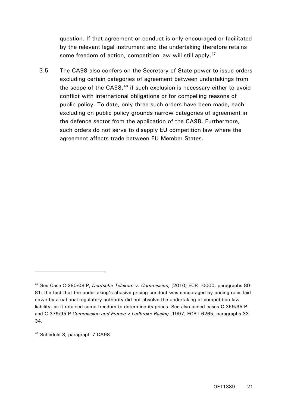question. If that agreement or conduct is only encouraged or facilitated by the relevant legal instrument and the undertaking therefore retains some freedom of action, competition law will still apply.<sup>[47](#page-20-0)</sup>

3.5 The CA98 also confers on the Secretary of State power to issue orders excluding certain categories of agreement between undertakings from the scope of the  $C_A$ [48](#page-20-1) if such exclusion is necessary either to avoid conflict with international obligations or for compelling reasons of public policy. To date, only three such orders have been made, each excluding on public policy grounds narrow categories of agreement in the defence sector from the application of the CA98. Furthermore, such orders do not serve to disapply EU competition law where the agreement affects trade between EU Member States.

<span id="page-20-0"></span><sup>47</sup> See Case C-280/08 P, *Deutsche Telekom v. Commission,* [2010] ECR I-0000, paragraphs 80- 81: the fact that the undertaking's abusive pricing conduct was encouraged by pricing rules laid down by a national regulatory authority did not absolve the undertaking of competition law liability, as it retained some freedom to determine its prices. See also joined cases C-359/95 P and C-379/95 P *Commission and France* v *Ladbroke Racing* [1997] ECR I-6265, paragraphs 33- 34.

<span id="page-20-1"></span><sup>48</sup> Schedule 3, paragraph 7 CA98.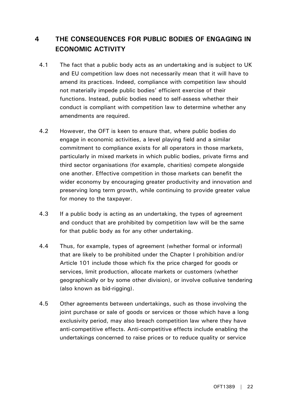# <span id="page-21-0"></span>**4 THE CONSEQUENCES FOR PUBLIC BODIES OF ENGAGING IN ECONOMIC ACTIVITY**

- 4.1 The fact that a public body acts as an undertaking and is subject to UK and EU competition law does not necessarily mean that it will have to amend its practices. Indeed, compliance with competition law should not materially impede public bodies' efficient exercise of their functions. Instead, public bodies need to self-assess whether their conduct is compliant with competition law to determine whether any amendments are required.
- 4.2 However, the OFT is keen to ensure that, where public bodies do engage in economic activities, a level playing field and a similar commitment to compliance exists for all operators in those markets, particularly in mixed markets in which public bodies, private firms and third sector organisations (for example, charities) compete alongside one another. Effective competition in those markets can benefit the wider economy by encouraging greater productivity and innovation and preserving long term growth, while continuing to provide greater value for money to the taxpayer.
- 4.3 If a public body is acting as an undertaking, the types of agreement and conduct that are prohibited by competition law will be the same for that public body as for any other undertaking.
- 4.4 Thus, for example, types of agreement (whether formal or informal) that are likely to be prohibited under the Chapter I prohibition and/or Article 101 include those which fix the price charged for goods or services, limit production, allocate markets or customers (whether geographically or by some other division), or involve collusive tendering (also known as bid-rigging).
- 4.5 Other agreements between undertakings, such as those involving the joint purchase or sale of goods or services or those which have a long exclusivity period, may also breach competition law where they have anti-competitive effects. Anti-competitive effects include enabling the undertakings concerned to raise prices or to reduce quality or service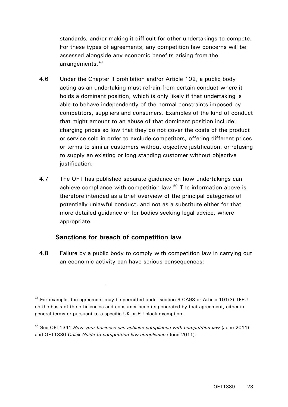standards, and/or making it difficult for other undertakings to compete. For these types of agreements, any competition law concerns will be assessed alongside any economic benefits arising from the arrangements.<sup>[49](#page-22-0)</sup>

- 4.6 Under the Chapter II prohibition and/or Article 102, a public body acting as an undertaking must refrain from certain conduct where it holds a dominant position, which is only likely if that undertaking is able to behave independently of the normal constraints imposed by competitors, suppliers and consumers. Examples of the kind of conduct that might amount to an abuse of that dominant position include: charging prices so low that they do not cover the costs of the product or service sold in order to exclude competitors, offering different prices or terms to similar customers without objective justification, or refusing to supply an existing or long standing customer without objective justification.
- 4.7 The OFT has published separate guidance on how undertakings can achieve compliance with competition law.<sup>[50](#page-22-1)</sup> The information above is therefore intended as a brief overview of the principal categories of potentially unlawful conduct, and not as a substitute either for that more detailed guidance or for bodies seeking legal advice, where appropriate.

#### **Sanctions for breach of competition law**

 $\overline{a}$ 

4.8 Failure by a public body to comply with competition law in carrying out an economic activity can have serious consequences:

<span id="page-22-0"></span><sup>&</sup>lt;sup>49</sup> For example, the agreement may be permitted under section 9 CA98 or Article 101(3) TFEU on the basis of the efficiencies and consumer benefits generated by that agreement, either in general terms or pursuant to a specific UK or EU block exemption.

<span id="page-22-1"></span><sup>50</sup> See OFT1341 *How your business can achieve compliance with competition law* (June 2011) and OFT1330 *Quick Guide to competition law compliance* (June 2011).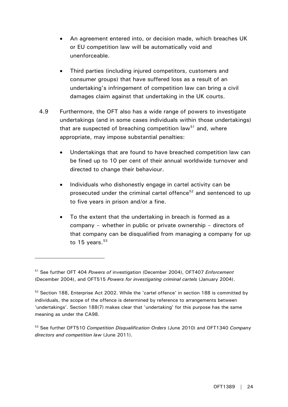- An agreement entered into, or decision made, which breaches UK or EU competition law will be automatically void and unenforceable.
- Third parties (including injured competitors, customers and consumer groups) that have suffered loss as a result of an undertaking's infringement of competition law can bring a civil damages claim against that undertaking in the UK courts.
- 4.9 Furthermore, the OFT also has a wide range of powers to investigate undertakings (and in some cases individuals within those undertakings) that are suspected of breaching competition law<sup>[51](#page-23-0)</sup> and, where appropriate, may impose substantial penalties:
	- Undertakings that are found to have breached competition law can be fined up to 10 per cent of their annual worldwide turnover and directed to change their behaviour.
	- Individuals who dishonestly engage in cartel activity can be prosecuted under the criminal cartel offence<sup>[52](#page-23-1)</sup> and sentenced to up to five years in prison and/or a fine.
	- To the extent that the undertaking in breach is formed as a company – whether in public or private ownership – directors of that company can be disqualified from managing a company for up to  $15$  years.  $53$

<span id="page-23-0"></span><sup>51</sup> See further OFT 404 *Powers of* investigation (December 2004), OFT407 *Enforcement* (December 2004), and OFT515 *Powers for investigating criminal cartels* (January 2004).

<span id="page-23-1"></span> $52$  Section 188, Enterprise Act 2002. While the 'cartel offence' in section 188 is committed by individuals, the scope of the offence is determined by reference to arrangements between 'undertakings'. Section 188(7) makes clear that 'undertaking' for this purpose has the same meaning as under the CA98.

<span id="page-23-2"></span><sup>53</sup> See further OFT510 *Competition Disqualification Orders* (June 2010) and OFT1340 *Company directors and competition law* (June 2011).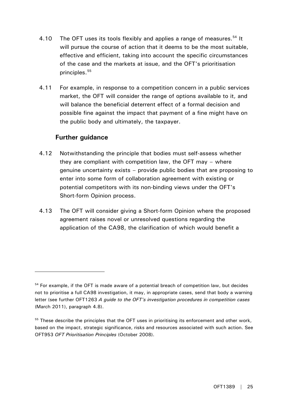- 4.10 The OFT uses its tools flexibly and applies a range of measures.<sup>[54](#page-24-0)</sup> It will pursue the course of action that it deems to be the most suitable, effective and efficient, taking into account the specific circumstances of the case and the markets at issue, and the OFT's prioritisation principles.[55](#page-24-1)
- 4.11 For example, in response to a competition concern in a public services market, the OFT will consider the range of options available to it, and will balance the beneficial deterrent effect of a formal decision and possible fine against the impact that payment of a fine might have on the public body and ultimately, the taxpayer.

#### **Further guidance**

- 4.12 Notwithstanding the principle that bodies must self-assess whether they are compliant with competition law, the OFT may – where genuine uncertainty exists – provide public bodies that are proposing to enter into some form of collaboration agreement with existing or potential competitors with its non-binding views under the OFT's Short-form Opinion process.
- 4.13 The OFT will consider giving a Short-form Opinion where the proposed agreement raises novel or unresolved questions regarding the application of the CA98, the clarification of which would benefit a

<span id="page-24-0"></span> $54$  For example, if the OFT is made aware of a potential breach of competition law, but decides not to prioritise a full CA98 investigation, it may, in appropriate cases, send that body a warning letter (see further OFT1263 *A guide to the OFT's investigation procedures in competition cases* (March 2011), paragraph 4.8).

<span id="page-24-1"></span> $55$  These describe the principles that the OFT uses in prioritising its enforcement and other work, based on the impact, strategic significance, risks and resources associated with such action. See OFT953 *OFT Prioritisation Principles* (October 2008).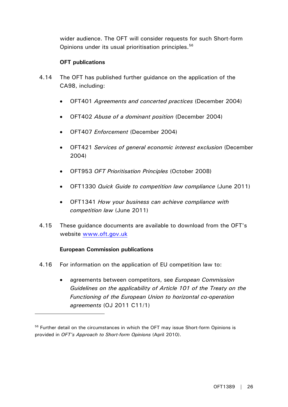wider audience. The OFT will consider requests for such Short-form Opinions under its usual prioritisation principles.<sup>[56](#page-25-0)</sup>

#### **OFT publications**

- 4.14 The OFT has published further guidance on the application of the CA98, including:
	- OFT401 *Agreements and concerted practices* (December 2004)
	- OFT402 *Abuse of a dominant position* (December 2004)
	- OFT407 *Enforcement* (December 2004)
	- OFT421 *Services of general economic interest exclusion* (December 2004)
	- OFT953 *OFT Prioritisation Principles* (October 2008)
	- OFT1330 *Quick Guide to competition law compliance* (June 2011)
	- OFT1341 *How your business can achieve compliance with competition law* (June 2011)
- 4.15 These guidance documents are available to download from the OFT's website [www.oft.gov.uk](http://www.oft.gov.uk/)

#### **European Commission publications**

- 4.16 For information on the application of EU competition law to:
	- agreements between competitors, see *European Commission Guidelines on the applicability of Article 101 of the Treaty on the Functioning of the European Union to horizontal co-operation agreements* (OJ 2011 C11/1)

<span id="page-25-0"></span><sup>&</sup>lt;sup>56</sup> Further detail on the circumstances in which the OFT may issue Short-form Opinions is provided in *OFT's Approach to Short-form Opinions* (April 2010).